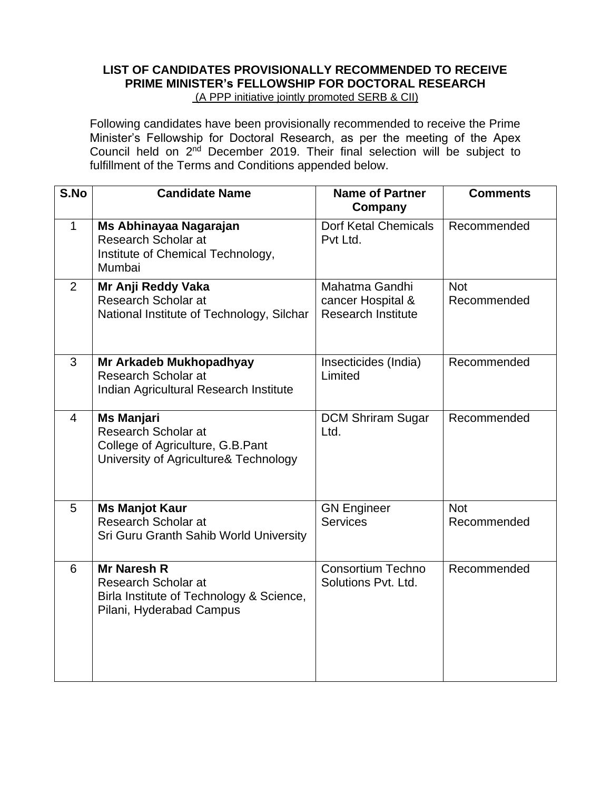# **LIST OF CANDIDATES PROVISIONALLY RECOMMENDED TO RECEIVE PRIME MINISTER's FELLOWSHIP FOR DOCTORAL RESEARCH**  (A PPP initiative jointly promoted SERB & CII)

Following candidates have been provisionally recommended to receive the Prime Minister's Fellowship for Doctoral Research, as per the meeting of the Apex Council held on 2<sup>nd</sup> December 2019. Their final selection will be subject to fulfillment of the Terms and Conditions appended below.

| S.No           | <b>Candidate Name</b>                                                                                                    | <b>Name of Partner</b><br>Company                                | <b>Comments</b>           |
|----------------|--------------------------------------------------------------------------------------------------------------------------|------------------------------------------------------------------|---------------------------|
| $\mathbf 1$    | Ms Abhinayaa Nagarajan<br>Research Scholar at<br>Institute of Chemical Technology,<br>Mumbai                             | <b>Dorf Ketal Chemicals</b><br>Pvt Ltd.                          | Recommended               |
| 2              | Mr Anji Reddy Vaka<br>Research Scholar at<br>National Institute of Technology, Silchar                                   | Mahatma Gandhi<br>cancer Hospital &<br><b>Research Institute</b> | <b>Not</b><br>Recommended |
| 3              | Mr Arkadeb Mukhopadhyay<br><b>Research Scholar at</b><br>Indian Agricultural Research Institute                          | Insecticides (India)<br>Limited                                  | Recommended               |
| $\overline{4}$ | <b>Ms Manjari</b><br>Research Scholar at<br>College of Agriculture, G.B.Pant<br>University of Agriculture& Technology    | <b>DCM Shriram Sugar</b><br>Ltd.                                 | Recommended               |
| 5              | <b>Ms Manjot Kaur</b><br>Research Scholar at<br>Sri Guru Granth Sahib World University                                   | <b>GN Engineer</b><br><b>Services</b>                            | <b>Not</b><br>Recommended |
| 6              | <b>Mr Naresh R</b><br><b>Research Scholar at</b><br>Birla Institute of Technology & Science,<br>Pilani, Hyderabad Campus | <b>Consortium Techno</b><br>Solutions Pvt. Ltd.                  | Recommended               |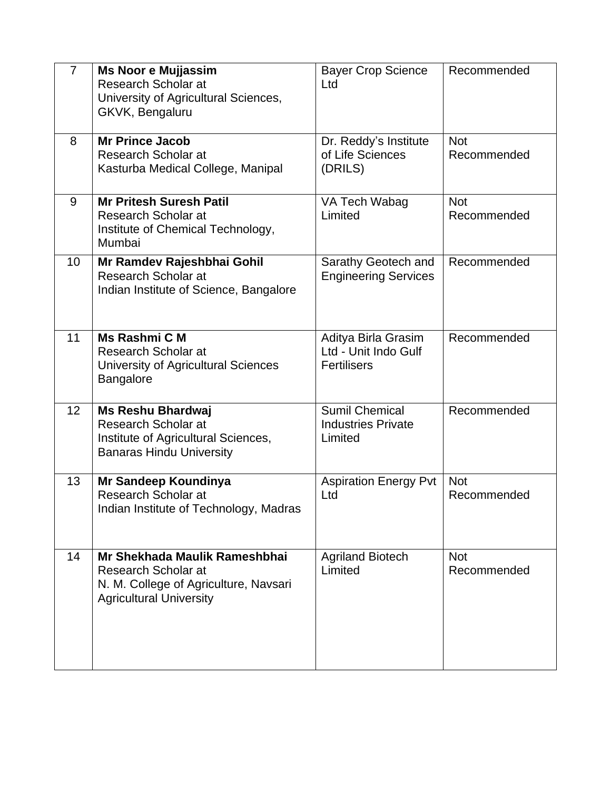| $\overline{7}$  | <b>Ms Noor e Mujjassim</b><br>Research Scholar at<br>University of Agricultural Sciences,<br>GKVK, Bengaluru                     | <b>Bayer Crop Science</b><br>Ltd                                  | Recommended               |
|-----------------|----------------------------------------------------------------------------------------------------------------------------------|-------------------------------------------------------------------|---------------------------|
| 8               | <b>Mr Prince Jacob</b><br>Research Scholar at<br>Kasturba Medical College, Manipal                                               | Dr. Reddy's Institute<br>of Life Sciences<br>(DRILS)              | <b>Not</b><br>Recommended |
| 9               | <b>Mr Pritesh Suresh Patil</b><br><b>Research Scholar at</b><br>Institute of Chemical Technology,<br>Mumbai                      | VA Tech Wabag<br>Limited                                          | <b>Not</b><br>Recommended |
| 10              | Mr Ramdev Rajeshbhai Gohil<br><b>Research Scholar at</b><br>Indian Institute of Science, Bangalore                               | Sarathy Geotech and<br><b>Engineering Services</b>                | Recommended               |
| 11              | Ms Rashmi C M<br>Research Scholar at<br>University of Agricultural Sciences<br><b>Bangalore</b>                                  | Aditya Birla Grasim<br>Ltd - Unit Indo Gulf<br><b>Fertilisers</b> | Recommended               |
| 12 <sup>2</sup> | <b>Ms Reshu Bhardwaj</b><br><b>Research Scholar at</b><br>Institute of Agricultural Sciences,<br><b>Banaras Hindu University</b> | <b>Sumil Chemical</b><br><b>Industries Private</b><br>Limited     | Recommended               |
| 13              | Mr Sandeep Koundinya<br><b>Research Scholar at</b><br>Indian Institute of Technology, Madras                                     | <b>Aspiration Energy Pvt</b><br>Ltd                               | <b>Not</b><br>Recommended |
| 14              | Mr Shekhada Maulik Rameshbhai<br>Research Scholar at<br>N. M. College of Agriculture, Navsari<br><b>Agricultural University</b>  | <b>Agriland Biotech</b><br>Limited                                | <b>Not</b><br>Recommended |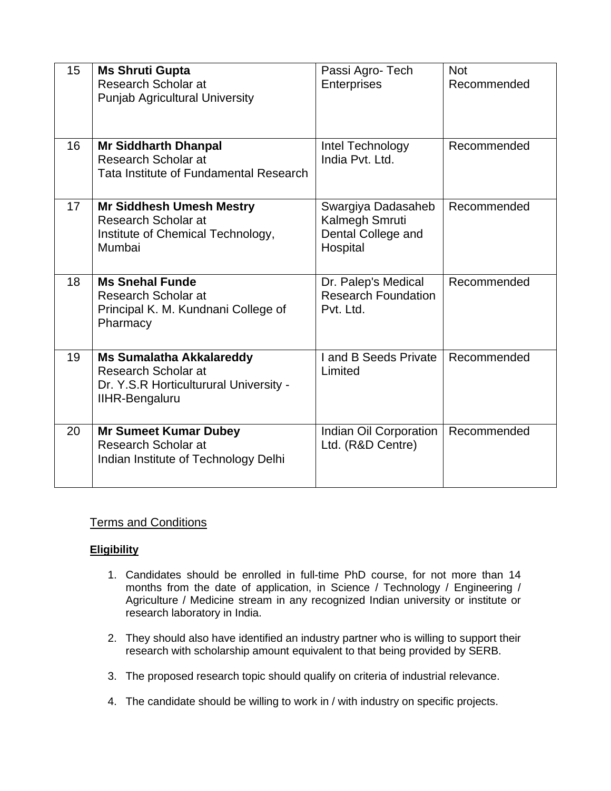| 15 | <b>Ms Shruti Gupta</b><br>Research Scholar at<br><b>Punjab Agricultural University</b>                                    | Passi Agro- Tech<br><b>Enterprises</b>                                 | <b>Not</b><br>Recommended |
|----|---------------------------------------------------------------------------------------------------------------------------|------------------------------------------------------------------------|---------------------------|
| 16 | <b>Mr Siddharth Dhanpal</b><br>Research Scholar at<br>Tata Institute of Fundamental Research                              | Intel Technology<br>India Pvt. Ltd.                                    | Recommended               |
| 17 | <b>Mr Siddhesh Umesh Mestry</b><br>Research Scholar at<br>Institute of Chemical Technology,<br>Mumbai                     | Swargiya Dadasaheb<br>Kalmegh Smruti<br>Dental College and<br>Hospital | Recommended               |
| 18 | <b>Ms Snehal Funde</b><br>Research Scholar at<br>Principal K. M. Kundnani College of<br>Pharmacy                          | Dr. Palep's Medical<br><b>Research Foundation</b><br>Pvt. Ltd.         | Recommended               |
| 19 | <b>Ms Sumalatha Akkalareddy</b><br>Research Scholar at<br>Dr. Y.S.R Horticulturural University -<br><b>IIHR-Bengaluru</b> | I and B Seeds Private<br>Limited                                       | Recommended               |
| 20 | <b>Mr Sumeet Kumar Dubey</b><br>Research Scholar at<br>Indian Institute of Technology Delhi                               | Indian Oil Corporation<br>Ltd. (R&D Centre)                            | Recommended               |

# Terms and Conditions

## **Eligibility**

- 1. Candidates should be enrolled in full-time PhD course, for not more than 14 months from the date of application, in Science / Technology / Engineering / Agriculture / Medicine stream in any recognized Indian university or institute or research laboratory in India.
- 2. They should also have identified an industry partner who is willing to support their research with scholarship amount equivalent to that being provided by SERB.
- 3. The proposed research topic should qualify on criteria of industrial relevance.
- 4. The candidate should be willing to work in / with industry on specific projects.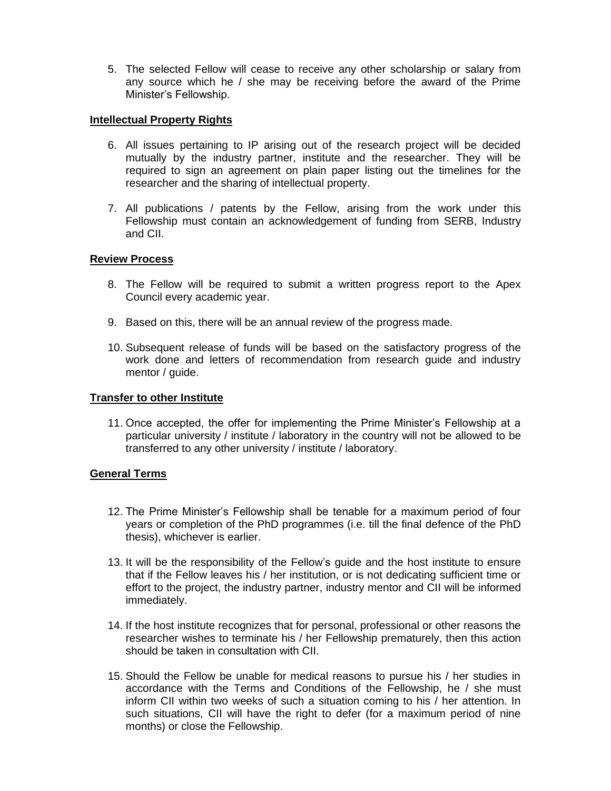5. The selected Fellow will cease to receive any other scholarship or salary from any source which he / she may be receiving before the award of the Prime Minister's Fellowship.

## **Intellectual Property Rights**

- 6. All issues pertaining to IP arising out of the research project will be decided mutually by the industry partner, institute and the researcher. They will be required to sign an agreement on plain paper listing out the timelines for the researcher and the sharing of intellectual property.
- 7. All publications / patents by the Fellow, arising from the work under this Fellowship must contain an acknowledgement of funding from SERB, Industry and CII.

## **Review Process**

- 8. The Fellow will be required to submit a written progress report to the Apex Council every academic year.
- 9. Based on this, there will be an annual review of the progress made.
- 10. Subsequent release of funds will be based on the satisfactory progress of the work done and letters of recommendation from research guide and industry mentor / guide.

#### **Transfer to other Institute**

11. Once accepted, the offer for implementing the Prime Minister's Fellowship at a particular university / institute / laboratory in the country will not be allowed to be transferred to any other university / institute / laboratory.

#### **General Terms**

- 12. The Prime Minister's Fellowship shall be tenable for a maximum period of four years or completion of the PhD programmes (i.e. till the final defence of the PhD thesis), whichever is earlier.
- 13. It will be the responsibility of the Fellow's guide and the host institute to ensure that if the Fellow leaves his / her institution, or is not dedicating sufficient time or effort to the project, the industry partner, industry mentor and CII will be informed immediately.
- 14. If the host institute recognizes that for personal, professional or other reasons the researcher wishes to terminate his / her Fellowship prematurely, then this action should be taken in consultation with CII.
- 15. Should the Fellow be unable for medical reasons to pursue his / her studies in accordance with the Terms and Conditions of the Fellowship, he / she must inform CII within two weeks of such a situation coming to his / her attention. In such situations, CII will have the right to defer (for a maximum period of nine months) or close the Fellowship.